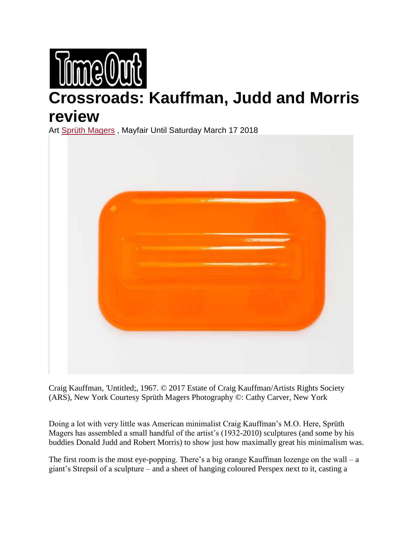

## **Crossroads: Kauffman, Judd and Morris review**

Art [Sprüth Magers](https://www.timeout.com/london/art/galleries/sprueth-magers) , Mayfair Until Saturday March 17 2018



Craig Kauffman, 'Untitled;, 1967. © 2017 Estate of Craig Kauffman/Artists Rights Society (ARS), New York Courtesy Sprüth Magers Photography ©: Cathy Carver, New York

Doing a lot with very little was American minimalist Craig Kauffman's M.O. Here, Sprüth Magers has assembled a small handful of the artist's (1932-2010) sculptures (and some by his buddies Donald Judd and Robert Morris) to show just how maximally great his minimalism was.

The first room is the most eye-popping. There's a big orange Kauffman lozenge on the wall – a giant's Strepsil of a sculpture – and a sheet of hanging coloured Perspex next to it, casting a